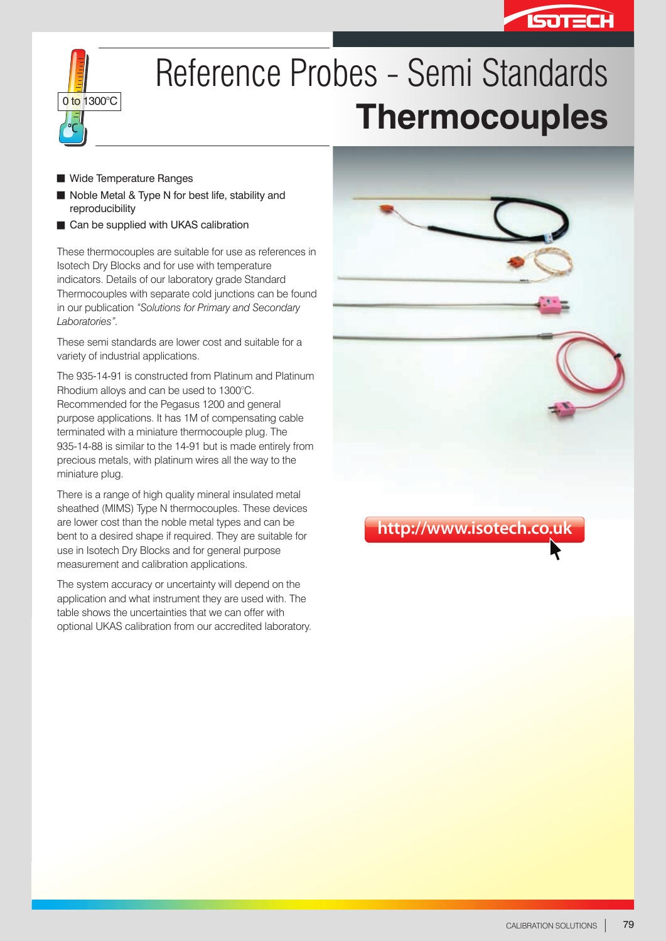



# Reference Probes - Semi Standards **Thermocouples**

- Wide Temperature Ranges
- Noble Metal & Type N for best life, stability and reproducibility
- Gan be supplied with UKAS calibration

These thermocouples are suitable for use as references in Isotech Dry Blocks and for use with temperature indicators. Details of our laboratory grade Standard Thermocouples with separate cold junctions can be found in our publication *"Solutions for Primary and Secondary Laboratories".*

These semi standards are lower cost and suitable for a variety of industrial applications.

The 935-14-91 is constructed from Platinum and Platinum Rhodium alloys and can be used to 1300°C. Recommended for the Pegasus 1200 and general purpose applications. It has 1M of compensating cable terminated with a miniature thermocouple plug. The 935-14-88 is similar to the 14-91 but is made entirely from precious metals, with platinum wires all the way to the miniature plug.

There is a range of high quality mineral insulated metal sheathed (MIMS) Type N thermocouples. These devices are lower cost than the noble metal types and can be bent to a desired shape if required. They are suitable for use in Isotech Dry Blocks and for general purpose measurement and calibration applications.

The system accuracy or uncertainty will depend on the application and what instrument they are used with. The table shows the uncertainties that we can offer with optional UKAS calibration from our accredited laboratory.

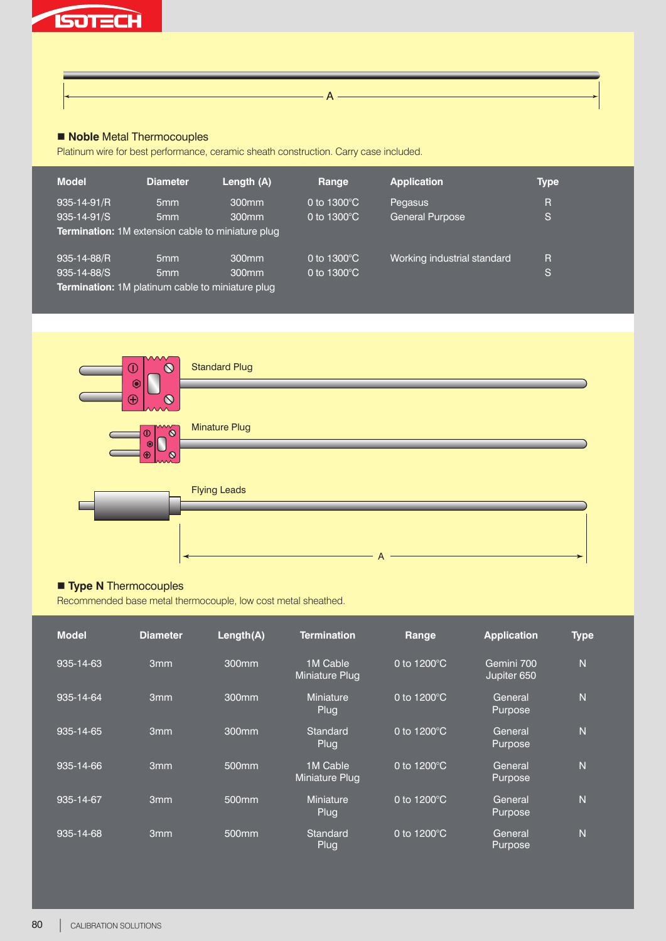

## **n** Noble Metal Thermocouples

Platinum wire for best performance, ceramic sheath construction. Carry case included.

| <b>Model</b>                                             | <b>Diameter</b> | Length (A)        | Range                 | <b>Application</b>          | Type |  |  |  |  |
|----------------------------------------------------------|-----------------|-------------------|-----------------------|-----------------------------|------|--|--|--|--|
| 935-14-91/R                                              | 5 <sub>mm</sub> | 300 <sub>mm</sub> | 0 to $1300^{\circ}$ C | Pegasus                     | R    |  |  |  |  |
| 935-14-91/S                                              | 5 <sub>mm</sub> | 300 <sub>mm</sub> | 0 to $1300^{\circ}$ C | <b>General Purpose</b>      | IS.  |  |  |  |  |
| <b>Termination:</b> 1M extension cable to miniature plug |                 |                   |                       |                             |      |  |  |  |  |
| 935-14-88/R                                              | 5 <sub>mm</sub> | 300 <sub>mm</sub> | 0 to $1300^{\circ}$ C | Working industrial standard | R    |  |  |  |  |
| 935-14-88/S                                              | 5 <sub>mm</sub> | 300 <sub>mm</sub> | 0 to $1300^{\circ}$ C |                             | IS.  |  |  |  |  |
| Termination: 1M platinum cable to miniature plug         |                 |                   |                       |                             |      |  |  |  |  |

 $\overline{A -}$ 



### **n** Type N Thermocouples

Recommended base metal thermocouple, low cost metal sheathed.

| <b>Model</b> | <b>Diameter</b> | Length(A)         | <b>Termination</b>              | Range                 | <b>Application</b>        | <b>Type</b>    |
|--------------|-----------------|-------------------|---------------------------------|-----------------------|---------------------------|----------------|
| 935-14-63    | 3 <sub>mm</sub> | 300mm             | 1M Cable<br>Miniature Plug      | 0 to $1200^{\circ}$ C | Gemini 700<br>Jupiter 650 | $\overline{N}$ |
| 935-14-64    | 3 <sub>mm</sub> | 300mm             | <b>Miniature</b><br>Plug        | 0 to $1200^{\circ}$ C | General<br>Purpose        | $\overline{N}$ |
| 935-14-65    | 3 <sub>mm</sub> | $300$ mm          | Standard<br>Plug                | 0 to $1200^{\circ}$ C | General<br>Purpose        | $\overline{N}$ |
| 935-14-66    | 3mm             | 500mm             | 1M Cable<br>Miniature Plug      | 0 to $1200^{\circ}$ C | General<br>Purpose        | $\overline{N}$ |
| 935-14-67    | 3mm             | 500mm             | <b>Miniature</b><br><b>Plug</b> | 0 to $1200^{\circ}$ C | General<br>Purpose        | N              |
| 935-14-68    | 3 <sub>mm</sub> | 500 <sub>mm</sub> | Standard<br>Plug                | 0 to 1200°C           | General<br>Purpose        | N              |